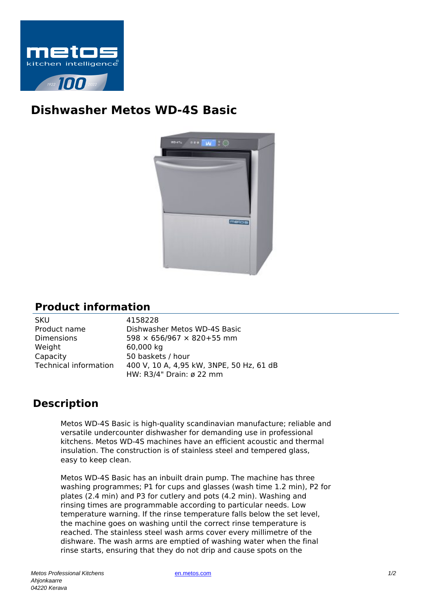

## **Dishwasher Metos WD-4S Basic**



## **Product information**

| SKU                          |
|------------------------------|
| Product name                 |
| Dimensions                   |
| Weight                       |
| Capacity                     |
| <b>Technical information</b> |
|                              |

4158228 Dishwasher Metos WD-4S Basic  $598 \times 656/967 \times 820 + 55$  mm 60,000 kg 50 baskets / hour 400 V, 10 A, 4,95 kW, 3NPE, 50 Hz, 61 dB HW: R3/4" Drain: ø 22 mm

## **Description**

Metos WD-4S Basic is high-quality scandinavian manufacture; reliable and versatile undercounter dishwasher for demanding use in professional kitchens. Metos WD-4S machines have an efficient acoustic and thermal insulation. The construction is of stainless steel and tempered glass, easy to keep clean.

Metos WD-4S Basic has an inbuilt drain pump. The machine has three washing programmes; P1 for cups and glasses (wash time 1.2 min), P2 for plates (2.4 min) and P3 for cutlery and pots (4.2 min). Washing and rinsing times are programmable according to particular needs. Low temperature warning. If the rinse temperature falls below the set level, the machine goes on washing until the correct rinse temperature is reached. The stainless steel wash arms cover every millimetre of the dishware. The wash arms are emptied of washing water when the final rinse starts, ensuring that they do not drip and cause spots on the